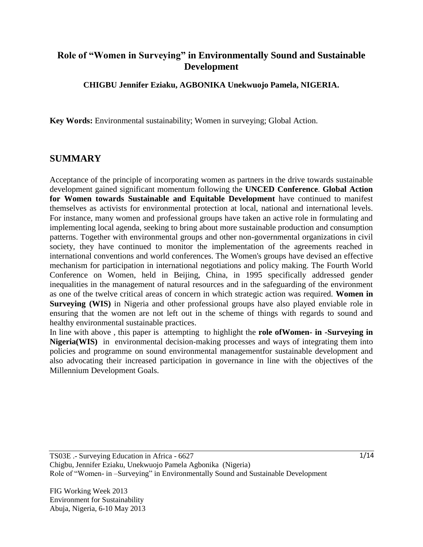# **Role of "Women in Surveying" in Environmentally Sound and Sustainable Development**

**CHIGBU Jennifer Eziaku, AGBONIKA Unekwuojo Pamela, NIGERIA.**

**Key Words:** Environmental sustainability; Women in surveying; Global Action.

# **SUMMARY**

Acceptance of the principle of incorporating women as partners in the drive towards sustainable development gained significant momentum following the **UNCED Conference**. **Global Action for Women towards Sustainable and Equitable Development** have continued to manifest themselves as activists for environmental protection at local, national and international levels. For instance, many women and professional groups have taken an active role in formulating and implementing local agenda, seeking to bring about more sustainable production and consumption patterns. Together with environmental groups and other non-governmental organizations in civil society, they have continued to monitor the implementation of the agreements reached in international conventions and world conferences. The Women's groups have devised an effective mechanism for participation in international negotiations and policy making. The Fourth World Conference on Women, held in Beijing, China, in 1995 specifically addressed gender inequalities in the management of natural resources and in the safeguarding of the environment as one of the twelve critical areas of concern in which strategic action was required. **Women in Surveying (WIS)** in Nigeria and other professional groups have also played enviable role in ensuring that the women are not left out in the scheme of things with regards to sound and healthy environmental sustainable practices.

In line with above , this paper is attempting to highlight the **role ofWomen- in -Surveying in Nigeria(WIS)** in environmental decision-making processes and ways of integrating them into policies and programme on sound environmental managementfor sustainable development and also advocating their increased participation in governance in line with the objectives of the Millennium Development Goals.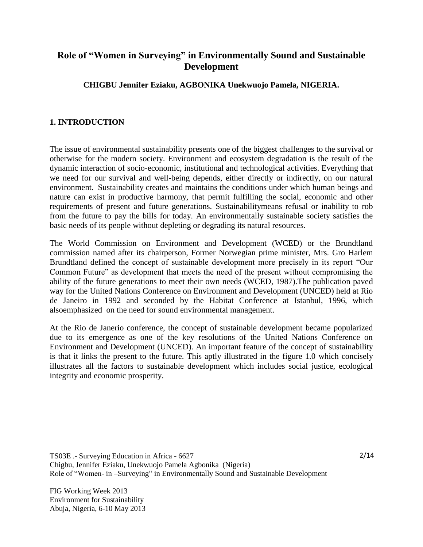# **Role of "Women in Surveying" in Environmentally Sound and Sustainable Development**

**CHIGBU Jennifer Eziaku, AGBONIKA Unekwuojo Pamela, NIGERIA.**

# **1. INTRODUCTION**

The issue of environmental sustainability presents one of the biggest challenges to the survival or otherwise for the modern society. Environment and ecosystem degradation is the result of the dynamic interaction of socio-economic, institutional and technological activities. Everything that we need for our survival and well-being depends, either directly or indirectly, on our natural environment. Sustainability creates and maintains the conditions under which human beings and nature can exist in productive harmony, that permit fulfilling the social, economic and other requirements of present and future generations. Sustainabilitymeans refusal or inability to rob from the future to pay the bills for today. An environmentally sustainable society satisfies the basic needs of its people without depleting or degrading its natural resources.

The World Commission on Environment and Development (WCED) or the Brundtland commission named after its chairperson, Former Norwegian prime minister, Mrs. Gro Harlem Brundtland defined the concept of sustainable development more precisely in its report "Our Common Future" as development that meets the need of the present without compromising the ability of the future generations to meet their own needs (WCED, 1987).The publication paved way for the United Nations Conference on Environment and Development (UNCED) held at Rio de Janeiro in 1992 and seconded by the Habitat Conference at Istanbul, 1996, which alsoemphasized on the need for sound environmental management.

At the Rio de Janerio conference, the concept of sustainable development became popularized due to its emergence as one of the key resolutions of the United Nations Conference on Environment and Development (UNCED). An important feature of the concept of sustainability is that it links the present to the future. This aptly illustrated in the figure 1.0 which concisely illustrates all the factors to sustainable development which includes social justice, ecological integrity and economic prosperity.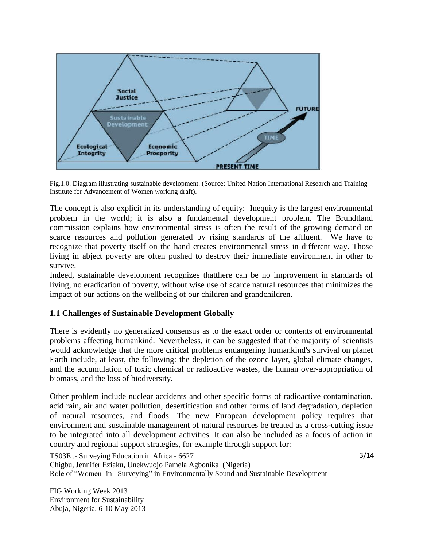

Fig.1.0. Diagram illustrating sustainable development. (Source: United Nation International Research and Training Institute for Advancement of Women working draft).

The concept is also explicit in its understanding of equity: Inequity is the largest environmental problem in the world; it is also a fundamental development problem. The Brundtland commission explains how environmental stress is often the result of the growing demand on scarce resources and pollution generated by rising standards of the affluent. We have to recognize that poverty itself on the hand creates environmental stress in different way. Those living in abject poverty are often pushed to destroy their immediate environment in other to survive.

Indeed, sustainable development recognizes thatthere can be no improvement in standards of living, no eradication of poverty, without wise use of scarce natural resources that minimizes the impact of our actions on the wellbeing of our children and grandchildren.

#### **1.1 Challenges of Sustainable Development Globally**

There is evidently no generalized consensus as to the exact order or contents of environmental problems affecting humankind. Nevertheless, it can be suggested that the majority of scientists would acknowledge that the more critical problems endangering humankind's survival on planet Earth include, at least, the following: the depletion of the ozone layer, global climate changes, and the accumulation of toxic chemical or radioactive wastes, the human over-appropriation of biomass, and the loss of biodiversity.

Other problem include nuclear accidents and other specific forms of radioactive contamination, acid rain, air and water pollution, desertification and other forms of land degradation, depletion of natural resources, and floods. The new European development policy requires that environment and sustainable management of natural resources be treated as a cross-cutting issue to be integrated into all development activities. It can also be included as a focus of action in country and regional support strategies, for example through support for:

TS03E .- Surveying Education in Africa - 6627 Chigbu, Jennifer Eziaku, Unekwuojo Pamela Agbonika (Nigeria) Role of "Women- in –Surveying" in Environmentally Sound and Sustainable Development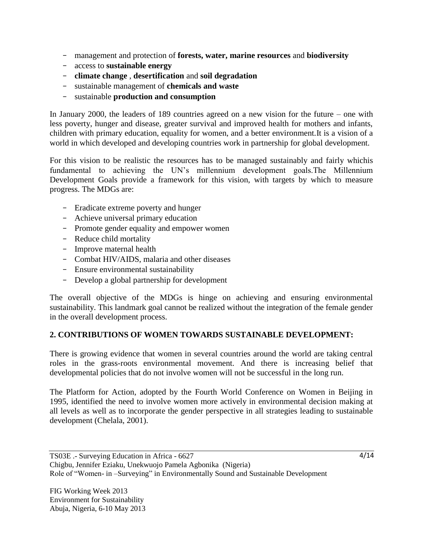- management and protection of **forests, water, marine resources** and **biodiversity**
- access to **sustainable energy**
- **climate change** , **desertification** and **soil degradation**
- sustainable management of **chemicals and waste**
- sustainable **production and consumption**

In January 2000, the leaders of 189 countries agreed on a new vision for the future – one with less poverty, hunger and disease, greater survival and improved health for mothers and infants, children with primary education, equality for women, and a better environment.It is a vision of a world in which developed and developing countries work in partnership for global development.

For this vision to be realistic the resources has to be managed sustainably and fairly whichis fundamental to achieving the UN"s millennium development goals.The Millennium Development Goals provide a framework for this vision, with targets by which to measure progress. The MDGs are:

- Eradicate extreme poverty and hunger
- Achieve universal primary education
- Promote gender equality and empower women
- Reduce child mortality
- Improve maternal health
- Combat HIV/AIDS, malaria and other diseases
- Ensure environmental sustainability
- Develop a global partnership for development

The overall objective of the MDGs is hinge on achieving and ensuring environmental sustainability. This landmark goal cannot be realized without the integration of the female gender in the overall development process.

#### **2. CONTRIBUTIONS OF WOMEN TOWARDS SUSTAINABLE DEVELOPMENT:**

There is growing evidence that women in several countries around the world are taking central roles in the grass-roots environmental movement. And there is increasing belief that developmental policies that do not involve women will not be successful in the long run.

The Platform for Action, adopted by the Fourth World Conference on Women in Beijing in 1995, identified the need to involve women more actively in environmental decision making at all levels as well as to incorporate the gender perspective in all strategies leading to sustainable development (Chelala, 2001).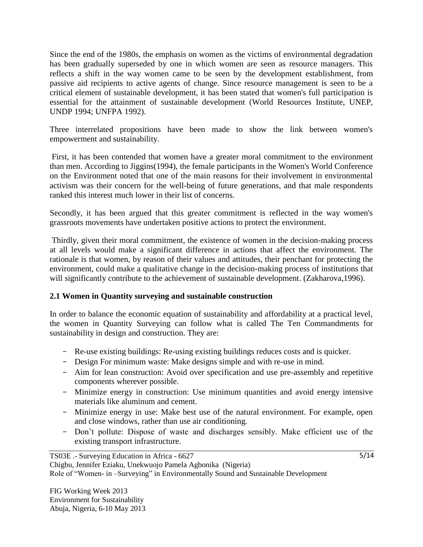Since the end of the 1980s, the emphasis on women as the victims of environmental degradation has been gradually superseded by one in which women are seen as resource managers. This reflects a shift in the way women came to be seen by the development establishment, from passive aid recipients to active agents of change. Since resource management is seen to be a critical element of sustainable development, it has been stated that women's full participation is essential for the attainment of sustainable development (World Resources Institute, UNEP, UNDP 1994; UNFPA 1992).

Three interrelated propositions have been made to show the link between women's empowerment and sustainability.

First, it has been contended that women have a greater moral commitment to the environment than men. According to Jiggins(1994), the female participants in the Women's World Conference on the Environment noted that one of the main reasons for their involvement in environmental activism was their concern for the well-being of future generations, and that male respondents ranked this interest much lower in their list of concerns.

Secondly, it has been argued that this greater commitment is reflected in the way women's grassroots movements have undertaken positive actions to protect the environment.

Thirdly, given their moral commitment, the existence of women in the decision-making process at all levels would make a significant difference in actions that affect the environment. The rationale is that women, by reason of their values and attitudes, their penchant for protecting the environment, could make a qualitative change in the decision-making process of institutions that will significantly contribute to the achievement of sustainable development. (Zakharova, 1996).

### **2.1 Women in Quantity surveying and sustainable construction**

In order to balance the economic equation of sustainability and affordability at a practical level, the women in Quantity Surveying can follow what is called The Ten Commandments for sustainability in design and construction. They are:

- Re-use existing buildings: Re-using existing buildings reduces costs and is quicker.
- Design For minimum waste: Make designs simple and with re-use in mind.
- Aim for lean construction: Avoid over specification and use pre-assembly and repetitive components wherever possible.
- Minimize energy in construction: Use minimum quantities and avoid energy intensive materials like aluminum and cement.
- Minimize energy in use: Make best use of the natural environment. For example, open and close windows, rather than use air conditioning.
- Don"t pollute: Dispose of waste and discharges sensibly. Make efficient use of the existing transport infrastructure.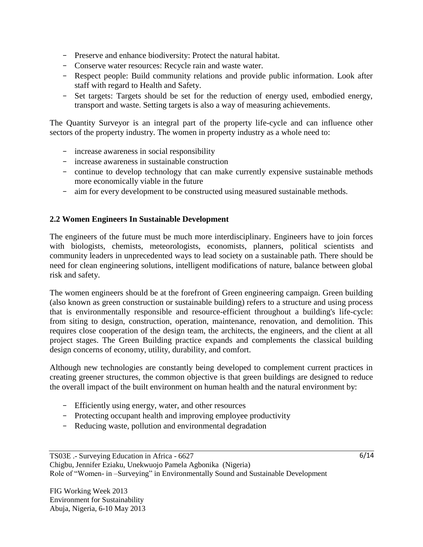- Preserve and enhance biodiversity: Protect the natural habitat.
- Conserve water resources: Recycle rain and waste water.
- Respect people: Build community relations and provide public information. Look after staff with regard to Health and Safety.
- Set targets: Targets should be set for the reduction of energy used, embodied energy, transport and waste. Setting targets is also a way of measuring achievements.

The Quantity Surveyor is an integral part of the property life-cycle and can influence other sectors of the property industry. The women in property industry as a whole need to:

- increase awareness in social responsibility
- increase awareness in sustainable construction
- continue to develop technology that can make currently expensive sustainable methods more economically viable in the future
- aim for every development to be constructed using measured sustainable methods.

#### **2.2 Women Engineers In Sustainable Development**

The engineers of the future must be much more interdisciplinary. Engineers have to join forces with biologists, chemists, meteorologists, economists, planners, political scientists and community leaders in unprecedented ways to lead society on a sustainable path. There should be need for clean engineering solutions, intelligent modifications of nature, balance between global risk and safety.

The women engineers should be at the forefront of Green engineering campaign. Green building (also known as green construction or sustainable building) refers to a structure and using process that is environmentally responsible and resource-efficient throughout a building's life-cycle: from siting to design, construction, operation, maintenance, renovation, and demolition. This requires close cooperation of the design team, the architects, the engineers, and the client at all project stages. The Green Building practice expands and complements the classical building design concerns of economy, utility, durability, and comfort.

Although new technologies are constantly being developed to complement current practices in creating greener structures, the common objective is that green buildings are designed to reduce the overall impact of the built environment on human health and the natural environment by:

- Efficiently using energy, water, and other resources
- Protecting occupant health and improving employee productivity
- Reducing waste, pollution and environmental degradation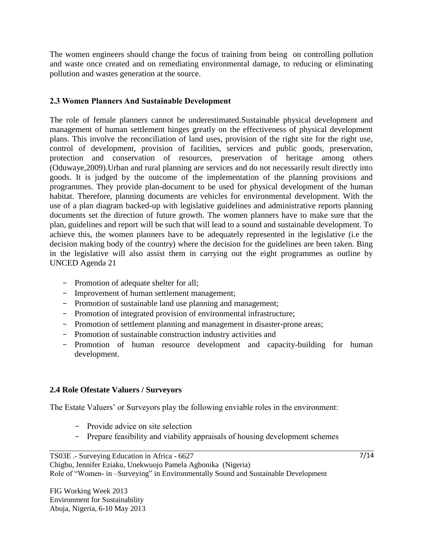The women engineers should change the focus of training from being on controlling pollution and waste once created and on remediating environmental damage, to reducing or eliminating pollution and wastes generation at the source.

#### **2.3 Women Planners And Sustainable Development**

The role of female planners cannot be underestimated.Sustainable physical development and management of human settlement hinges greatly on the effectiveness of physical development plans. This involve the reconciliation of land uses, provision of the right site for the right use, control of development, provision of facilities, services and public goods, preservation, protection and conservation of resources, preservation of heritage among others (Oduwaye,2009).Urban and rural planning are services and do not necessarily result directly into goods. It is judged by the outcome of the implementation of the planning provisions and programmes. They provide plan-document to be used for physical development of the human habitat. Therefore, planning documents are vehicles for environmental development. With the use of a plan diagram backed-up with legislative guidelines and administrative reports planning documents set the direction of future growth. The women planners have to make sure that the plan, guidelines and report will be such that will lead to a sound and sustainable development. To achieve this, the women planners have to be adequately represented in the legislative (i.e the decision making body of the country) where the decision for the guidelines are been taken. Bing in the legislative will also assist them in carrying out the eight programmes as outline by UNCED Agenda 21

- Promotion of adequate shelter for all;
- Improvement of human settlement management;
- Promotion of sustainable land use planning and management;
- Promotion of integrated provision of environmental infrastructure;
- Promotion of settlement planning and management in disaster-prone areas;
- Promotion of sustainable construction industry activities and
- Promotion of human resource development and capacity-building for human development.

#### **2.4 Role Ofestate Valuers / Surveyors**

The Estate Valuers' or Surveyors play the following enviable roles in the environment:

- Provide advice on site selection
- Prepare feasibility and viability appraisals of housing development schemes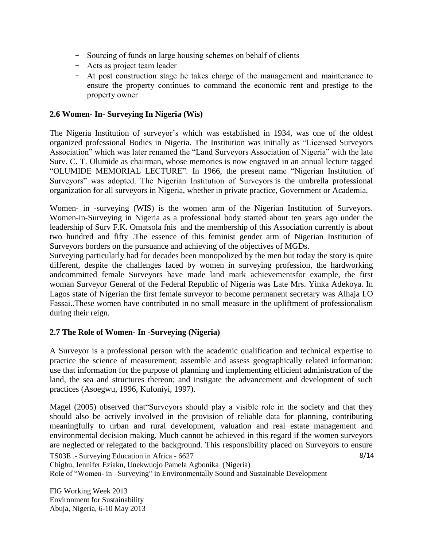- Sourcing of funds on large housing schemes on behalf of clients
- Acts as project team leader
- At post construction stage he takes charge of the management and maintenance to ensure the property continues to command the economic rent and prestige to the property owner

# **2.6 Women- In- Surveying In Nigeria (Wis)**

The Nigeria Institution of surveyor's which was established in 1934, was one of the oldest organized professional Bodies in Nigeria. The Institution was initially as "Licensed Surveyors Association" which was later renamed the "Land Surveyors Association of Nigeria" with the late Surv. C. T. Olumide as chairman, whose memories is now engraved in an annual lecture tagged "OLUMIDE MEMORIAL LECTURE". In 1966, the present name "Nigerian Institution of Surveyors" was adopted. The Nigerian Institution of Surveyors is the umbrella professional organization for all surveyors in Nigeria, whether in private practice, Government or Academia.

Women- in -surveying (WIS) is the women arm of the Nigerian Institution of Surveyors. Women-in-Surveying in Nigeria as a professional body started about ten years ago under the leadership of Surv F.K. Omatsola fnis and the membership of this Association currently is about two hundred and fifty .The essence of this feminist gender arm of Nigerian Institution of Surveyors borders on the pursuance and achieving of the objectives of MGDs.

Surveying particularly had for decades been monopolized by the men but today the story is quite different, despite the challenges faced by women in surveying profession, the hardworking andcommitted female Surveyors have made land mark achievementsfor example, the first woman Surveyor General of the Federal Republic of Nigeria was Late Mrs. Yinka Adekoya. In Lagos state of Nigerian the first female surveyor to become permanent secretary was Alhaja I.O Fassai..These women have contributed in no small measure in the upliftment of professionalism during their reign.

# **2.7 The Role of Women- In -Surveying (Nigeria)**

A Surveyor is a professional person with the academic qualification and technical expertise to practice the science of measurement; assemble and assess geographically related information; use that information for the purpose of planning and implementing efficient administration of the land, the sea and structures thereon; and instigate the advancement and development of such practices (Asoegwu, 1996, Kufoniyi, 1997).

Magel (2005) observed that"Surveyors should play a visible role in the society and that they should also be actively involved in the provision of reliable data for planning, contributing meaningfully to urban and rural development, valuation and real estate management and environmental decision making. Much cannot be achieved in this regard if the women surveyors are neglected or relegated to the background. This responsibility placed on Surveyors to ensure

TS03E .- Surveying Education in Africa - 6627

Chigbu, Jennifer Eziaku, Unekwuojo Pamela Agbonika (Nigeria)

Role of "Women- in –Surveying" in Environmentally Sound and Sustainable Development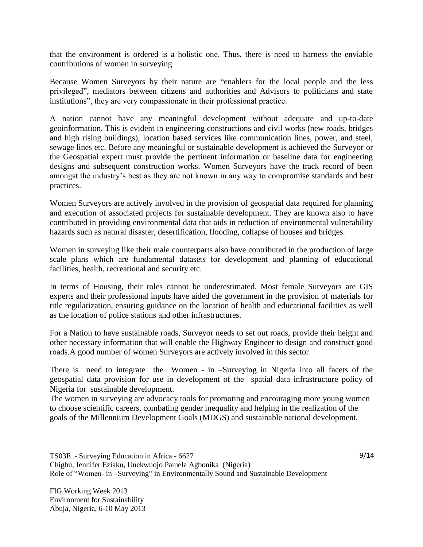that the environment is ordered is a holistic one. Thus, there is need to harness the enviable contributions of women in surveying

Because Women Surveyors by their nature are "enablers for the local people and the less privileged", mediators between citizens and authorities and Advisors to politicians and state institutions", they are very compassionate in their professional practice.

A nation cannot have any meaningful development without adequate and up-to-date geoinformation. This is evident in engineering constructions and civil works (new roads, bridges and high rising buildings), location based services like communication lines, power, and steel, sewage lines etc. Before any meaningful or sustainable development is achieved the Surveyor or the Geospatial expert must provide the pertinent information or baseline data for engineering designs and subsequent construction works. Women Surveyors have the track record of been amongst the industry"s best as they are not known in any way to compromise standards and best practices.

Women Surveyors are actively involved in the provision of geospatial data required for planning and execution of associated projects for sustainable development. They are known also to have contributed in providing environmental data that aids in reduction of environmental vulnerability hazards such as natural disaster, desertification, flooding, collapse of houses and bridges.

Women in surveying like their male counterparts also have contributed in the production of large scale plans which are fundamental datasets for development and planning of educational facilities, health, recreational and security etc.

In terms of Housing, their roles cannot be underestimated. Most female Surveyors are GIS experts and their professional inputs have aided the government in the provision of materials for title regularization, ensuring guidance on the location of health and educational facilities as well as the location of police stations and other infrastructures.

For a Nation to have sustainable roads, Surveyor needs to set out roads, provide their height and other necessary information that will enable the Highway Engineer to design and construct good roads.A good number of women Surveyors are actively involved in this sector.

There is need to integrate the Women - in –Surveying in Nigeria into all facets of the geospatial data provision for use in development of the spatial data infrastructure policy of Nigeria for sustainable development.

The women in surveying are advocacy tools for promoting and encouraging more young women to choose scientific careers, combating gender inequality and helping in the realization of the goals of the Millennium Development Goals (MDGS) and sustainable national development.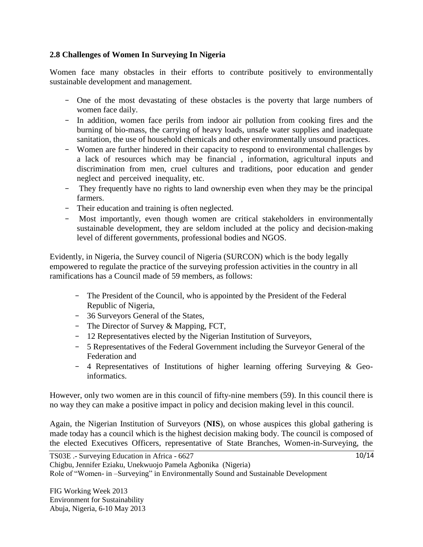## **2.8 Challenges of Women In Surveying In Nigeria**

Women face many obstacles in their efforts to contribute positively to environmentally sustainable development and management.

- One of the most devastating of these obstacles is the poverty that large numbers of women face daily.
- In addition, women face perils from indoor air pollution from cooking fires and the burning of bio-mass, the carrying of heavy loads, unsafe water supplies and inadequate sanitation, the use of household chemicals and other environmentally unsound practices.
- Women are further hindered in their capacity to respond to environmental challenges by a lack of resources which may be financial , information, agricultural inputs and discrimination from men, cruel cultures and traditions, poor education and gender neglect and perceived inequality, etc.
- They frequently have no rights to land ownership even when they may be the principal farmers.
- Their education and training is often neglected.
- Most importantly, even though women are critical stakeholders in environmentally sustainable development, they are seldom included at the policy and decision-making level of different governments, professional bodies and NGOS.

Evidently, in Nigeria, the Survey council of Nigeria (SURCON) which is the body legally empowered to regulate the practice of the surveying profession activities in the country in all ramifications has a Council made of 59 members, as follows:

- The President of the Council, who is appointed by the President of the Federal Republic of Nigeria,
- 36 Surveyors General of the States,
- The Director of Survey & Mapping, FCT,
- 12 Representatives elected by the Nigerian Institution of Surveyors,
- 5 Representatives of the Federal Government including the Surveyor General of the Federation and
- 4 Representatives of Institutions of higher learning offering Surveying & Geoinformatics.

However, only two women are in this council of fifty-nine members (59). In this council there is no way they can make a positive impact in policy and decision making level in this council.

Again, the Nigerian Institution of Surveyors (**NIS**), on whose auspices this global gathering is made today has a council which is the highest decision making body. The council is composed of the elected Executives Officers, representative of State Branches, Women-in-Surveying, the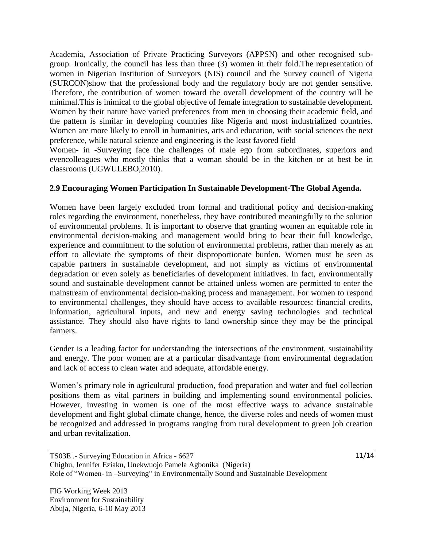Academia, Association of Private Practicing Surveyors (APPSN) and other recognised subgroup. Ironically, the council has less than three (3) women in their fold.The representation of women in Nigerian Institution of Surveyors (NIS) council and the Survey council of Nigeria (SURCON)show that the professional body and the regulatory body are not gender sensitive. Therefore, the contribution of women toward the overall development of the country will be minimal.This is inimical to the global objective of female integration to sustainable development. Women by their nature have varied preferences from men in choosing their academic field, and the pattern is similar in developing countries like Nigeria and most industrialized countries. Women are more likely to enroll in humanities, arts and education, with social sciences the next preference, while natural science and engineering is the least favored field

Women- in -Surveying face the challenges of male ego from subordinates, superiors and evencolleagues who mostly thinks that a woman should be in the kitchen or at best be in classrooms (UGWULEBO,2010).

### **2.9 Encouraging Women Participation In Sustainable Development-The Global Agenda.**

Women have been largely excluded from formal and traditional policy and decision-making roles regarding the environment, nonetheless, they have contributed meaningfully to the solution of environmental problems. It is important to observe that granting women an equitable role in environmental decision-making and management would bring to bear their full knowledge, experience and commitment to the solution of environmental problems, rather than merely as an effort to alleviate the symptoms of their disproportionate burden. Women must be seen as capable partners in sustainable development, and not simply as victims of environmental degradation or even solely as beneficiaries of development initiatives. In fact, environmentally sound and sustainable development cannot be attained unless women are permitted to enter the mainstream of environmental decision-making process and management. For women to respond to environmental challenges, they should have access to available resources: financial credits, information, agricultural inputs, and new and energy saving technologies and technical assistance. They should also have rights to land ownership since they may be the principal farmers.

Gender is a leading factor for understanding the intersections of the environment, sustainability and energy. The poor women are at a particular disadvantage from environmental degradation and lack of access to clean water and adequate, affordable energy.

Women"s primary role in agricultural production, food preparation and water and fuel collection positions them as vital partners in building and implementing sound environmental policies. However, investing in women is one of the most effective ways to advance sustainable development and fight global climate change, hence, the diverse roles and needs of women must be recognized and addressed in programs ranging from rural development to green job creation and urban revitalization.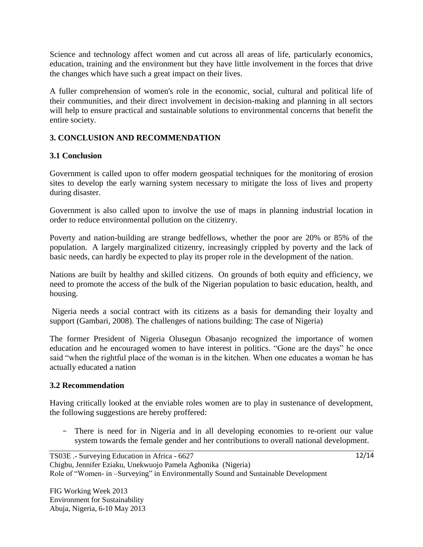Science and technology affect women and cut across all areas of life, particularly economics, education, training and the environment but they have little involvement in the forces that drive the changes which have such a great impact on their lives.

A fuller comprehension of women's role in the economic, social, cultural and political life of their communities, and their direct involvement in decision-making and planning in all sectors will help to ensure practical and sustainable solutions to environmental concerns that benefit the entire society.

# **3. CONCLUSION AND RECOMMENDATION**

# **3.1 Conclusion**

Government is called upon to offer modern geospatial techniques for the monitoring of erosion sites to develop the early warning system necessary to mitigate the loss of lives and property during disaster.

Government is also called upon to involve the use of maps in planning industrial location in order to reduce environmental pollution on the citizenry.

Poverty and nation-building are strange bedfellows, whether the poor are 20% or 85% of the population. A largely marginalized citizenry, increasingly crippled by poverty and the lack of basic needs, can hardly be expected to play its proper role in the development of the nation.

Nations are built by healthy and skilled citizens. On grounds of both equity and efficiency, we need to promote the access of the bulk of the Nigerian population to basic education, health, and housing.

Nigeria needs a social contract with its citizens as a basis for demanding their loyalty and support (Gambari, 2008). The challenges of nations building: The case of Nigeria)

The former President of Nigeria Olusegun Obasanjo recognized the importance of women education and he encouraged women to have interest in politics. "Gone are the days" he once said "when the rightful place of the woman is in the kitchen. When one educates a woman he has actually educated a nation

### **3.2 Recommendation**

Having critically looked at the enviable roles women are to play in sustenance of development, the following suggestions are hereby proffered:

- There is need for in Nigeria and in all developing economies to re-orient our value system towards the female gender and her contributions to overall national development.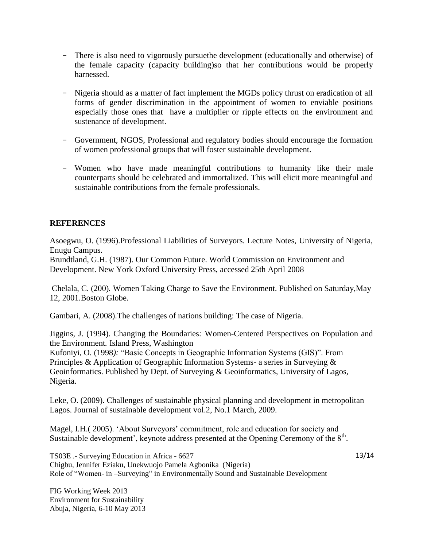- There is also need to vigorously pursuethe development (educationally and otherwise) of the female capacity (capacity building)so that her contributions would be properly harnessed.
- Nigeria should as a matter of fact implement the MGDs policy thrust on eradication of all forms of gender discrimination in the appointment of women to enviable positions especially those ones that have a multiplier or ripple effects on the environment and sustenance of development.
- Government, NGOS, Professional and regulatory bodies should encourage the formation of women professional groups that will foster sustainable development.
- Women who have made meaningful contributions to humanity like their male counterparts should be celebrated and immortalized. This will elicit more meaningful and sustainable contributions from the female professionals.

### **REFERENCES**

Asoegwu, O. (1996).Professional Liabilities of Surveyors. Lecture Notes, University of Nigeria, Enugu Campus.

Brundtland, G.H. (1987). Our Common Future. World Commission on Environment and Development. New York Oxford University Press, accessed 25th April 2008

Chelala, C. (200)*.* Women Taking Charge to Save the Environment. Published on Saturday,May 12, 2001.Boston Globe.

Gambari, A. (2008).The challenges of nations building: The case of Nigeria.

Jiggins, J. (1994). Changing the Boundaries*:* Women-Centered Perspectives on Population and the Environment*.* Island Press, Washington Kufoniyi, O. (1998*):* "Basic Concepts in Geographic Information Systems (GIS)". From Principles & Application of Geographic Information Systems- a series in Surveying & Geoinformatics. Published by Dept. of Surveying & Geoinformatics, University of Lagos, Nigeria.

Leke, O. (2009). Challenges of sustainable physical planning and development in metropolitan Lagos. Journal of sustainable development vol.2, No.1 March, 2009.

Magel, I.H. (2005). 'About Surveyors' commitment, role and education for society and Sustainable development', keynote address presented at the Opening Ceremony of the 8<sup>th</sup>.

TS03E .- Surveying Education in Africa - 6627 Chigbu, Jennifer Eziaku, Unekwuojo Pamela Agbonika (Nigeria) Role of "Women- in –Surveying" in Environmentally Sound and Sustainable Development